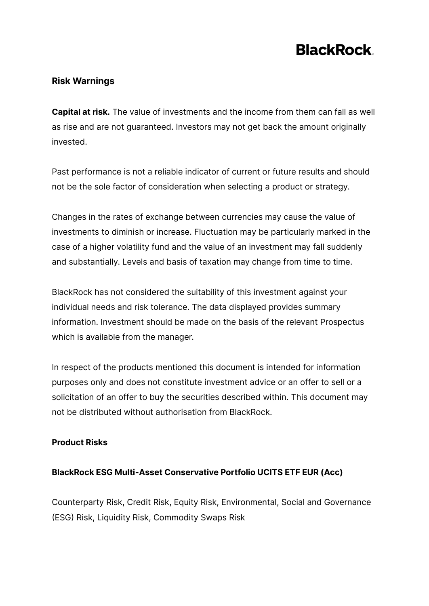# **Risk Warnings**

**Capital at risk.** The value of investments and the income from them can fall as well as rise and are not guaranteed. Investors may not get back the amount originally invested.

Past performance is not a reliable indicator of current or future results and should not be the sole factor of consideration when selecting a product or strategy.

Changes in the rates of exchange between currencies may cause the value of investments to diminish or increase. Fluctuation may be particularly marked in the case of a higher volatility fund and the value of an investment may fall suddenly and substantially. Levels and basis of taxation may change from time to time.

BlackRock has not considered the suitability of this investment against your individual needs and risk tolerance. The data displayed provides summary information. Investment should be made on the basis of the relevant Prospectus which is available from the manager.

In respect of the products mentioned this document is intended for information purposes only and does not constitute investment advice or an offer to sell or a solicitation of an offer to buy the securities described within. This document may not be distributed without authorisation from BlackRock.

#### **Product Risks**

## **BlackRock ESG Multi-Asset Conservative Portfolio UCITS ETF EUR (Acc)**

Counterparty Risk, Credit Risk, Equity Risk, Environmental, Social and Governance (ESG) Risk, Liquidity Risk, Commodity Swaps Risk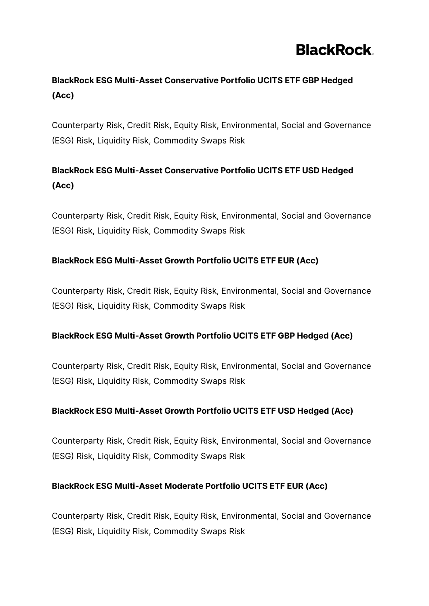# **BlackRock ESG Multi-Asset Conservative Portfolio UCITS ETF GBP Hedged (Acc)**

Counterparty Risk, Credit Risk, Equity Risk, Environmental, Social and Governance (ESG) Risk, Liquidity Risk, Commodity Swaps Risk

# **BlackRock ESG Multi-Asset Conservative Portfolio UCITS ETF USD Hedged (Acc)**

Counterparty Risk, Credit Risk, Equity Risk, Environmental, Social and Governance (ESG) Risk, Liquidity Risk, Commodity Swaps Risk

# **BlackRock ESG Multi-Asset Growth Portfolio UCITS ETF EUR (Acc)**

Counterparty Risk, Credit Risk, Equity Risk, Environmental, Social and Governance (ESG) Risk, Liquidity Risk, Commodity Swaps Risk

## **BlackRock ESG Multi-Asset Growth Portfolio UCITS ETF GBP Hedged (Acc)**

Counterparty Risk, Credit Risk, Equity Risk, Environmental, Social and Governance (ESG) Risk, Liquidity Risk, Commodity Swaps Risk

## **BlackRock ESG Multi-Asset Growth Portfolio UCITS ETF USD Hedged (Acc)**

Counterparty Risk, Credit Risk, Equity Risk, Environmental, Social and Governance (ESG) Risk, Liquidity Risk, Commodity Swaps Risk

## **BlackRock ESG Multi-Asset Moderate Portfolio UCITS ETF EUR (Acc)**

Counterparty Risk, Credit Risk, Equity Risk, Environmental, Social and Governance (ESG) Risk, Liquidity Risk, Commodity Swaps Risk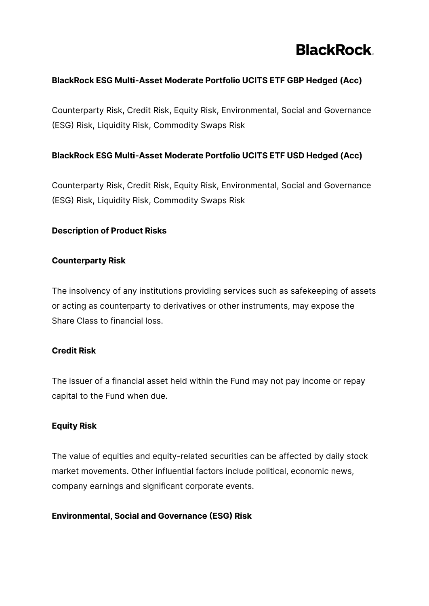### **BlackRock ESG Multi-Asset Moderate Portfolio UCITS ETF GBP Hedged (Acc)**

Counterparty Risk, Credit Risk, Equity Risk, Environmental, Social and Governance (ESG) Risk, Liquidity Risk, Commodity Swaps Risk

#### **BlackRock ESG Multi-Asset Moderate Portfolio UCITS ETF USD Hedged (Acc)**

Counterparty Risk, Credit Risk, Equity Risk, Environmental, Social and Governance (ESG) Risk, Liquidity Risk, Commodity Swaps Risk

#### **Description of Product Risks**

#### **Counterparty Risk**

The insolvency of any institutions providing services such as safekeeping of assets or acting as counterparty to derivatives or other instruments, may expose the Share Class to financial loss.

#### **Credit Risk**

The issuer of a financial asset held within the Fund may not pay income or repay capital to the Fund when due.

#### **Equity Risk**

The value of equities and equity-related securities can be affected by daily stock market movements. Other influential factors include political, economic news, company earnings and significant corporate events.

#### **Environmental, Social and Governance (ESG) Risk**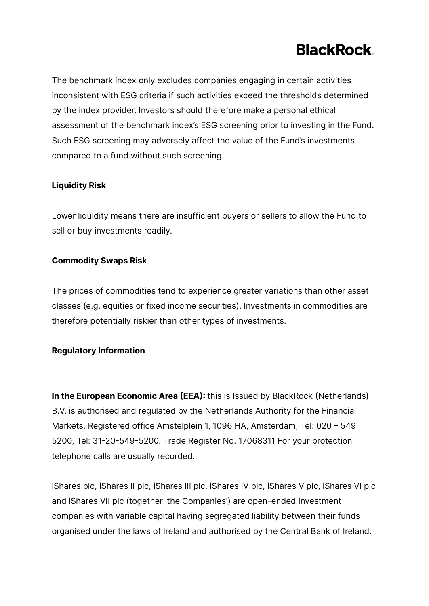The benchmark index only excludes companies engaging in certain activities inconsistent with ESG criteria if such activities exceed the thresholds determined by the index provider. Investors should therefore make a personal ethical assessment of the benchmark index's ESG screening prior to investing in the Fund. Such ESG screening may adversely affect the value of the Fund's investments compared to a fund without such screening.

# **Liquidity Risk**

Lower liquidity means there are insufficient buyers or sellers to allow the Fund to sell or buy investments readily.

### **Commodity Swaps Risk**

The prices of commodities tend to experience greater variations than other asset classes (e.g. equities or fixed income securities). Investments in commodities are therefore potentially riskier than other types of investments.

## **Regulatory Information**

**In the European Economic Area (EEA):** this is Issued by BlackRock (Netherlands) B.V. is authorised and regulated by the Netherlands Authority for the Financial Markets. Registered office Amstelplein 1, 1096 HA, Amsterdam, Tel: 020 – 549 5200, Tel: 31-20-549-5200. Trade Register No. 17068311 For your protection telephone calls are usually recorded.

iShares plc, iShares II plc, iShares III plc, iShares IV plc, iShares V plc, iShares VI plc and iShares VII plc (together 'the Companies') are open-ended investment companies with variable capital having segregated liability between their funds organised under the laws of Ireland and authorised by the Central Bank of Ireland.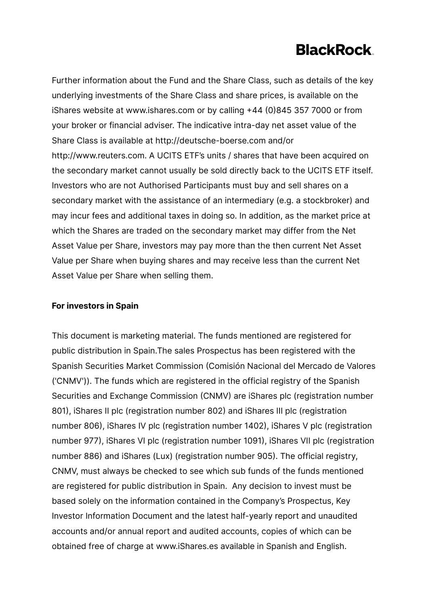Further information about the Fund and the Share Class, such as details of the key underlying investments of the Share Class and share prices, is available on the iShares website at www.ishares.com or by calling +44 (0)845 357 7000 or from your broker or financial adviser. The indicative intra-day net asset value of the Share Class is available at http://deutsche-boerse.com and/or http://www.reuters.com. A UCITS ETF's units / shares that have been acquired on the secondary market cannot usually be sold directly back to the UCITS ETF itself. Investors who are not Authorised Participants must buy and sell shares on a secondary market with the assistance of an intermediary (e.g. a stockbroker) and may incur fees and additional taxes in doing so. In addition, as the market price at which the Shares are traded on the secondary market may differ from the Net Asset Value per Share, investors may pay more than the then current Net Asset Value per Share when buying shares and may receive less than the current Net Asset Value per Share when selling them.

#### **For investors in Spain**

This document is marketing material. The funds mentioned are registered for public distribution in Spain.The sales Prospectus has been registered with the Spanish Securities Market Commission (Comisión Nacional del Mercado de Valores ('CNMV')). The funds which are registered in the official registry of the Spanish Securities and Exchange Commission (CNMV) are iShares plc (registration number 801), iShares II plc (registration number 802) and iShares III plc (registration number 806), iShares IV plc (registration number 1402), iShares V plc (registration number 977), iShares VI plc (registration number 1091), iShares VII plc (registration number 886) and iShares (Lux) (registration number 905). The official registry, CNMV, must always be checked to see which sub funds of the funds mentioned are registered for public distribution in Spain. Any decision to invest must be based solely on the information contained in the Company's Prospectus, Key Investor Information Document and the latest half-yearly report and unaudited accounts and/or annual report and audited accounts, copies of which can be obtained free of charge at www.iShares.es available in Spanish and English.